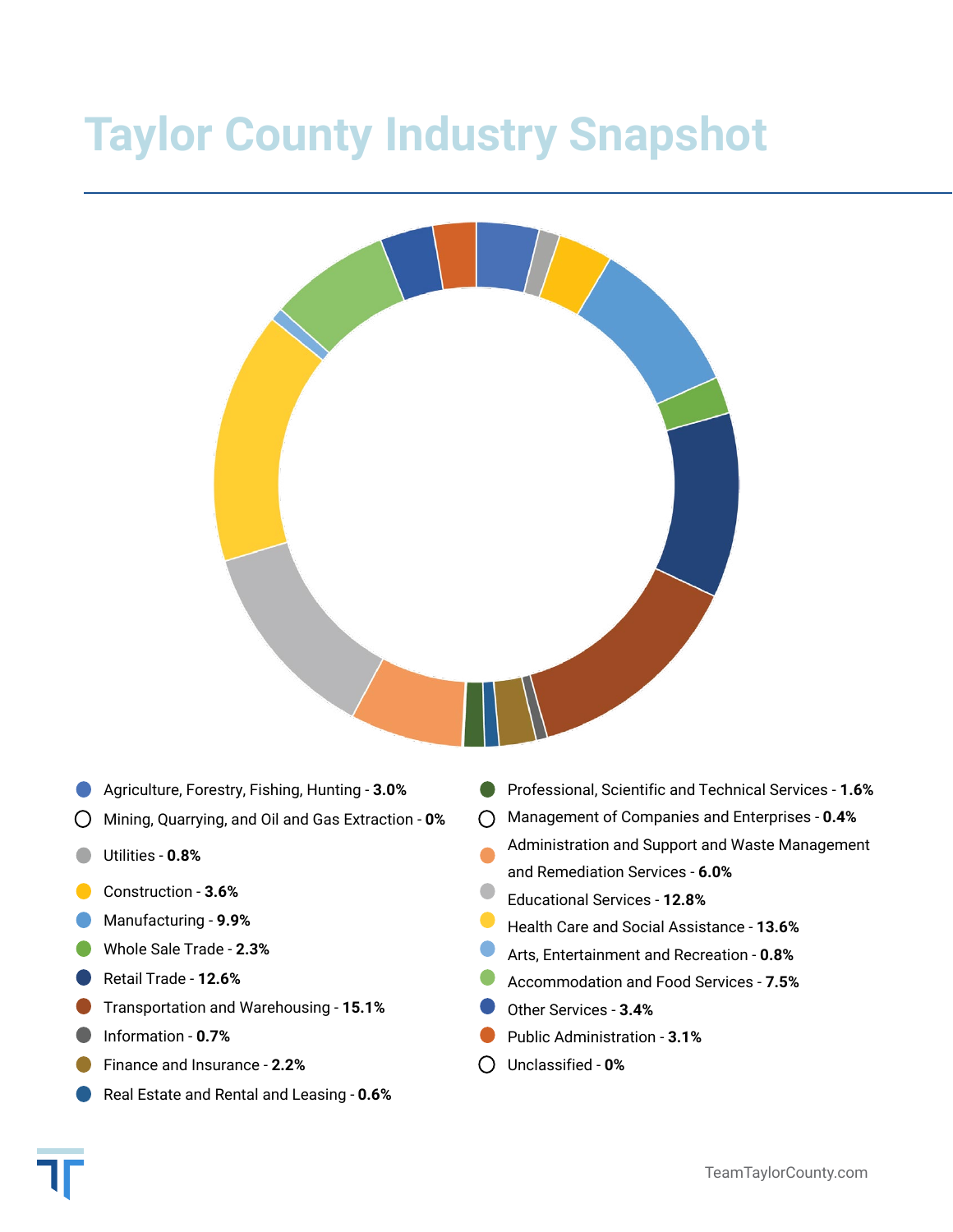## **Taylor County Industry Snapshot**



- Agriculture, Forestry, Fishing, Hunting **3.0%**
- Mining, Quarrying, and Oil and Gas Extraction **0%**
- Utilities **0.8%**
- Construction **3.6%**
- Manufacturing **9.9%**
- Whole Sale Trade **2.3%**
- Retail Trade **12.6%**
- Transportation and Warehousing **15.1%**
- Information **0.7%**
- Finance and Insurance **2.2%**
- Real Estate and Rental and Leasing **0.6%**
- Professional, Scientific and Technical Services **1.6%**
- Management of Companies and Enterprises **0.4%** ∩
- Administration and Support and Waste Management
- and Remediation Services **6.0%**
- Educational Services **12.8%**
- Health Care and Social Assistance **13.6%**
- Arts, Entertainment and Recreation **0.8%**
- Accommodation and Food Services **7.5%**
- Other Services **3.4%**
- Public Administration **3.1%**
- Unclassified **0%**